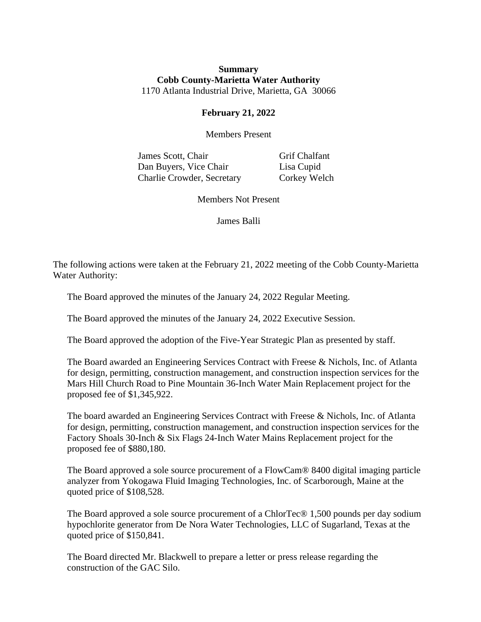## **Summary Cobb County-Marietta Water Authority** 1170 Atlanta Industrial Drive, Marietta, GA 30066

## **February 21, 2022**

Members Present

James Scott, Chair Grif Chalfant Dan Buyers, Vice Chair Lisa Cupid Charlie Crowder, Secretary Corkey Welch

Members Not Present

James Balli

The following actions were taken at the February 21, 2022 meeting of the Cobb County-Marietta Water Authority:

The Board approved the minutes of the January 24, 2022 Regular Meeting.

The Board approved the minutes of the January 24, 2022 Executive Session.

The Board approved the adoption of the Five-Year Strategic Plan as presented by staff.

The Board awarded an Engineering Services Contract with Freese & Nichols, Inc. of Atlanta for design, permitting, construction management, and construction inspection services for the Mars Hill Church Road to Pine Mountain 36-Inch Water Main Replacement project for the proposed fee of \$1,345,922.

The board awarded an Engineering Services Contract with Freese & Nichols, Inc. of Atlanta for design, permitting, construction management, and construction inspection services for the Factory Shoals 30-Inch & Six Flags 24-Inch Water Mains Replacement project for the proposed fee of \$880,180.

The Board approved a sole source procurement of a FlowCam® 8400 digital imaging particle analyzer from Yokogawa Fluid Imaging Technologies, Inc. of Scarborough, Maine at the quoted price of \$108,528.

The Board approved a sole source procurement of a ChlorTec® 1,500 pounds per day sodium hypochlorite generator from De Nora Water Technologies, LLC of Sugarland, Texas at the quoted price of \$150,841.

The Board directed Mr. Blackwell to prepare a letter or press release regarding the construction of the GAC Silo.